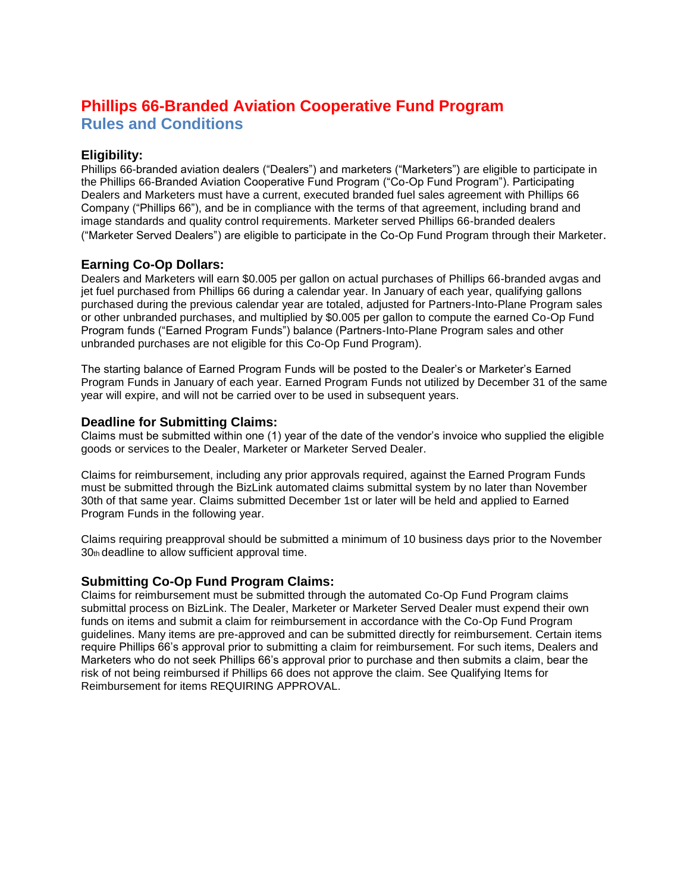# **Phillips 66-Branded Aviation Cooperative Fund Program Rules and Conditions**

# **Eligibility:**

Phillips 66-branded aviation dealers ("Dealers") and marketers ("Marketers") are eligible to participate in the Phillips 66-Branded Aviation Cooperative Fund Program ("Co-Op Fund Program"). Participating Dealers and Marketers must have a current, executed branded fuel sales agreement with Phillips 66 Company ("Phillips 66"), and be in compliance with the terms of that agreement, including brand and image standards and quality control requirements. Marketer served Phillips 66-branded dealers ("Marketer Served Dealers") are eligible to participate in the Co-Op Fund Program through their Marketer.

### **Earning Co-Op Dollars:**

Dealers and Marketers will earn \$0.005 per gallon on actual purchases of Phillips 66-branded avgas and jet fuel purchased from Phillips 66 during a calendar year. In January of each year, qualifying gallons purchased during the previous calendar year are totaled, adjusted for Partners-Into-Plane Program sales or other unbranded purchases, and multiplied by \$0.005 per gallon to compute the earned Co-Op Fund Program funds ("Earned Program Funds") balance (Partners-Into-Plane Program sales and other unbranded purchases are not eligible for this Co-Op Fund Program).

The starting balance of Earned Program Funds will be posted to the Dealer's or Marketer's Earned Program Funds in January of each year. Earned Program Funds not utilized by December 31 of the same year will expire, and will not be carried over to be used in subsequent years.

## **Deadline for Submitting Claims:**

Claims must be submitted within one (1) year of the date of the vendor's invoice who supplied the eligible goods or services to the Dealer, Marketer or Marketer Served Dealer.

Claims for reimbursement, including any prior approvals required, against the Earned Program Funds must be submitted through the BizLink automated claims submittal system by no later than November 30th of that same year. Claims submitted December 1st or later will be held and applied to Earned Program Funds in the following year.

Claims requiring preapproval should be submitted a minimum of 10 business days prior to the November 30th deadline to allow sufficient approval time.

### **Submitting Co-Op Fund Program Claims:**

Claims for reimbursement must be submitted through the automated Co-Op Fund Program claims submittal process on BizLink. The Dealer, Marketer or Marketer Served Dealer must expend their own funds on items and submit a claim for reimbursement in accordance with the Co-Op Fund Program guidelines. Many items are pre-approved and can be submitted directly for reimbursement. Certain items require Phillips 66's approval prior to submitting a claim for reimbursement. For such items, Dealers and Marketers who do not seek Phillips 66's approval prior to purchase and then submits a claim, bear the risk of not being reimbursed if Phillips 66 does not approve the claim. See Qualifying Items for Reimbursement for items REQUIRING APPROVAL.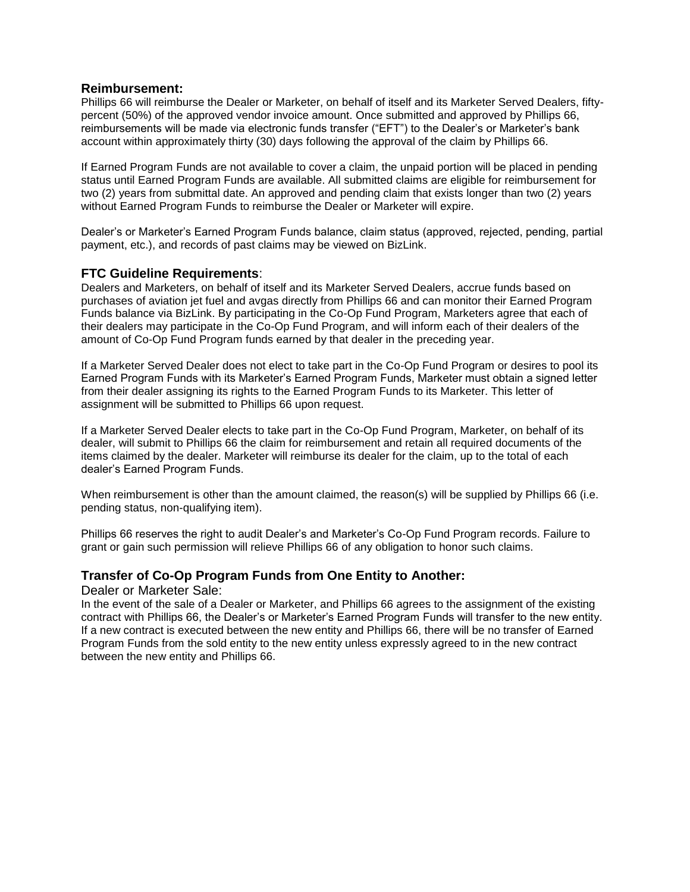#### **Reimbursement:**

Phillips 66 will reimburse the Dealer or Marketer, on behalf of itself and its Marketer Served Dealers, fiftypercent (50%) of the approved vendor invoice amount. Once submitted and approved by Phillips 66, reimbursements will be made via electronic funds transfer ("EFT") to the Dealer's or Marketer's bank account within approximately thirty (30) days following the approval of the claim by Phillips 66.

If Earned Program Funds are not available to cover a claim, the unpaid portion will be placed in pending status until Earned Program Funds are available. All submitted claims are eligible for reimbursement for two (2) years from submittal date. An approved and pending claim that exists longer than two (2) years without Earned Program Funds to reimburse the Dealer or Marketer will expire.

Dealer's or Marketer's Earned Program Funds balance, claim status (approved, rejected, pending, partial payment, etc.), and records of past claims may be viewed on BizLink.

### **FTC Guideline Requirements**:

Dealers and Marketers, on behalf of itself and its Marketer Served Dealers, accrue funds based on purchases of aviation jet fuel and avgas directly from Phillips 66 and can monitor their Earned Program Funds balance via BizLink. By participating in the Co-Op Fund Program, Marketers agree that each of their dealers may participate in the Co-Op Fund Program, and will inform each of their dealers of the amount of Co-Op Fund Program funds earned by that dealer in the preceding year.

If a Marketer Served Dealer does not elect to take part in the Co-Op Fund Program or desires to pool its Earned Program Funds with its Marketer's Earned Program Funds, Marketer must obtain a signed letter from their dealer assigning its rights to the Earned Program Funds to its Marketer. This letter of assignment will be submitted to Phillips 66 upon request.

If a Marketer Served Dealer elects to take part in the Co-Op Fund Program, Marketer, on behalf of its dealer, will submit to Phillips 66 the claim for reimbursement and retain all required documents of the items claimed by the dealer. Marketer will reimburse its dealer for the claim, up to the total of each dealer's Earned Program Funds.

When reimbursement is other than the amount claimed, the reason(s) will be supplied by Phillips 66 (i.e. pending status, non-qualifying item).

Phillips 66 reserves the right to audit Dealer's and Marketer's Co-Op Fund Program records. Failure to grant or gain such permission will relieve Phillips 66 of any obligation to honor such claims.

### **Transfer of Co-Op Program Funds from One Entity to Another:**

#### Dealer or Marketer Sale:

In the event of the sale of a Dealer or Marketer, and Phillips 66 agrees to the assignment of the existing contract with Phillips 66, the Dealer's or Marketer's Earned Program Funds will transfer to the new entity. If a new contract is executed between the new entity and Phillips 66, there will be no transfer of Earned Program Funds from the sold entity to the new entity unless expressly agreed to in the new contract between the new entity and Phillips 66.